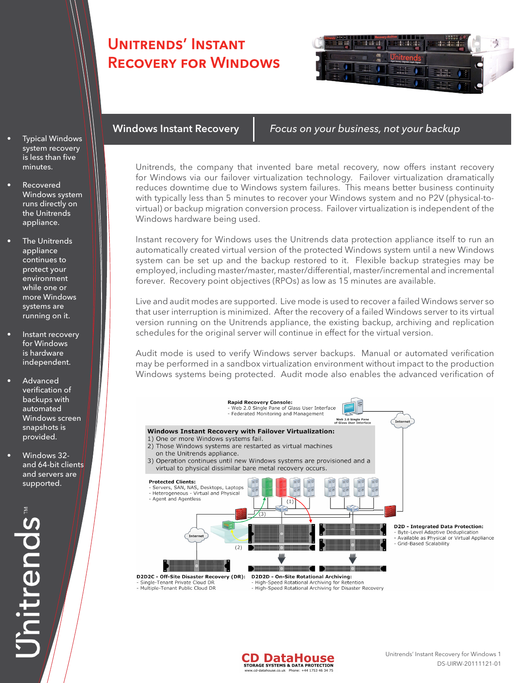## Unitrends' Instant Recovery for Windows



- **Typical Windows** system recovery is less than five minutes.
- **Recovered** Windows system runs directly on the Unitrends appliance.
- **The Unitrends** appliance continues to protect your environment while one or more Windows systems are running on it.
- Instant recovery for Windows is hardware independent.
- **Advanced** verification of backups with automated Windows screen snapshots is provided.
- Windows 32and 64-bit clients and servers are supported.

Unitrends

Windows Instant Recovery *Focus on your business, not your backup*

Unitrends, the company that invented bare metal recovery, now offers instant recovery for Windows via our failover virtualization technology. Failover virtualization dramatically reduces downtime due to Windows system failures. This means better business continuity with typically less than 5 minutes to recover your Windows system and no P2V (physical-tovirtual) or backup migration conversion process. Failover virtualization is independent of the Windows hardware being used.

Instant recovery for Windows uses the Unitrends data protection appliance itself to run an automatically created virtual version of the protected Windows system until a new Windows system can be set up and the backup restored to it. Flexible backup strategies may be employed, including master/master, master/differential, master/incremental and incremental forever. Recovery point objectives (RPOs) as low as 15 minutes are available.

Live and audit modes are supported. Live mode is used to recover a failed Windows server so that user interruption is minimized. After the recovery of a failed Windows server to its virtual version running on the Unitrends appliance, the existing backup, archiving and replication schedules for the original server will continue in effect for the virtual version.

Audit mode is used to verify Windows server backups. Manual or automated verification may be performed in a sandbox virtualization environment without impact to the production Windows systems being protected. Audit mode also enables the advanced verification of